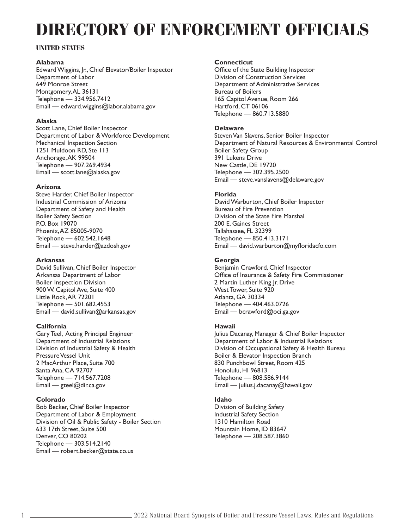# **DIRECTORY OF ENFORCEMENT OFFICIALS**

# **UNITED STATES**

# **Alabama**

Edward Wiggins, Jr., Chief Elevator/Boiler Inspector Department of Labor 649 Monroe Street Montgomery, AL 36131 Telephone — 334.956.7412 Email — edward.wiggins@labor.alabama.gov

# **Alaska**

Scott Lane, Chief Boiler Inspector Department of Labor & Workforce Development Mechanical Inspection Section 1251 Muldoon RD, Ste 113 Anchorage, AK 99504 Telephone — 907.269.4934 Email — scott.lane@alaska.gov

# **Arizona**

Steve Harder, Chief Boiler Inspector Industrial Commission of Arizona Department of Safety and Health Boiler Safety Section P.O. Box 19070 Phoenix, AZ 85005-9070 Telephone — 602.542.1648 Email — steve.harder@azdosh.gov

# **Arkansas**

David Sullivan, Chief Boiler Inspector Arkansas Department of Labor Boiler Inspection Division 900 W. Capitol Ave, Suite 400 Little Rock, AR 72201 Telephone — 501.682.4553 Email — david.sullivan@arkansas.gov

# **California**

Gary Teel, Acting Principal Engineer Department of Industrial Relations Division of Industrial Safety & Health Pressure Vessel Unit 2 MacArthur Place, Suite 700 Santa Ana, CA 92707 Telephone — 714.567.7208 Email — gteel@dir.ca.gov

# **Colorado**

Bob Becker, Chief Boiler Inspector Department of Labor & Employment Division of Oil & Public Safety - Boiler Section 633 17th Street, Suite 500 Denver, CO 80202 Telephone — 303.514.2140 Email — robert.becker@state.co.us

# **Connecticut**

Office of the State Building Inspector Division of Construction Services Department of Administrative Services Bureau of Boilers 165 Capitol Avenue, Room 266 Hartford, CT 06106 Telephone — 860.713.5880

# **Delaware**

Steven Van Slavens, Senior Boiler Inspector Department of Natural Resources & Environmental Control Boiler Safety Group 391 Lukens Drive New Castle, DE 19720 Telephone — 302.395.2500 Email — steve.vanslavens@delaware.gov

# **Florida**

David Warburton, Chief Boiler Inspector Bureau of Fire Prevention Division of the State Fire Marshal 200 E. Gaines Street Tallahassee, FL 32399 Telephone — 850.413.3171 Email — david.warburton@myfloridacfo.com

# **Georgia**

Benjamin Crawford, Chief Inspector Office of Insurance & Safety Fire Commissioner 2 Martin Luther King Jr. Drive West Tower, Suite 920 Atlanta, GA 30334 Telephone — 404.463.0726 Email — bcrawford@oci.ga.gov

# **Hawaii**

Julius Dacanay, Manager & Chief Boiler Inspector Department of Labor & Industrial Relations Division of Occupational Safety & Health Bureau Boiler & Elevator Inspection Branch 830 Punchbowl Street, Room 425 Honolulu, HI 96813 Telephone — 808.586.9144 Email — julius.j.dacanay@hawaii.gov

# **Idaho**

Division of Building Safety Industrial Safety Section 1310 Hamilton Road Mountain Home, ID 83647 Telephone — 208.587.3860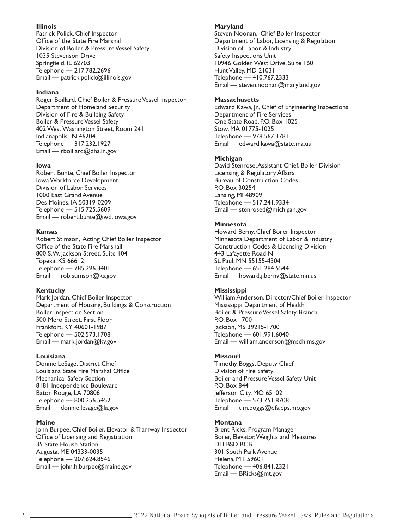# **Illinois**

Patrick Polick, Chief Inspector Office of the State Fire Marshal Division of Boiler & Pressure Vessel Safety 1035 Stevenson Drive Springfield, IL 62703 Telephone — 217.782.2696 Email — patrick.polick@illinois.gov

# **Indiana**

Roger Boillard, Chief Boiler & Pressure Vessel Inspector Department of Homeland Security Division of Fire & Building Safety Boiler & Pressure Vessel Safety 402 West Washington Street, Room 241 Indianapolis, IN 46204 Telephone — 317.232.1927 Email — rboillard@dhs.in.gov

## **Iowa**

Robert Bunte, Chief Boiler Inspector Iowa Workforce Development Division of Labor Services 1000 East Grand Avenue Des Moines, IA 50319-0209 Telephone — 515.725.5609 Email — robert.bunte@iwd.iowa.gov

## **Kansas**

Robert Stimson, Acting Chief Boiler Inspector Office of the State Fire Marshall 800 S.W. Jackson Street, Suite 104 Topeka, KS 66612 Telephone — 785.296.3401 Email — rob.stimson@ks.gov

# **Kentucky**

Mark Jordan, Chief Boiler Inspector Department of Housing, Buildings & Construction Boiler Inspection Section 500 Mero Street, First Floor Frankfort, KY 40601-1987 Telephone — 502.573.1708 Email — mark.jordan@ky.gov

# **Louisiana**

Donnie LeSage, District Chief Louisiana State Fire Marshal Office Mechanical Safety Section 8181 Independence Boulevard Baton Rouge, LA 70806 Telephone — 800.256.5452 Email — donnie.lesage@la.gov

# **Maine**

John Burpee, Chief Boiler, Elevator & Tramway Inspector Office of Licensing and Registration 35 State House Station Augusta, ME 04333-0035 Telephone — 207.624.8546 Email — john.h.burpee@maine.gov

#### **Maryland**

Steven Noonan, Chief Boiler Inspector Department of Labor, Licensing & Regulation Division of Labor & Industry Safety Inspections Unit 10946 Golden West Drive, Suite 160 Hunt Valley, MD 21031 Telephone — 410.767.2333 Email — steven.noonan@maryland.gov

#### **Massachusetts**

Edward Kawa, Jr., Chief of Engineering Inspections Department of Fire Services One State Road, P.O. Box 1025 Stow, MA 01775-1025 Telephone — 978.567.3781 Email — edward.kawa@state.ma.us

## **Michigan**

David Stenrose, Assistant Chief, Boiler Division Licensing & Regulatory Affairs Bureau of Construction Codes P.O. Box 30254 Lansing, MI 48909 Telephone — 517.241.9334 Email — stenrosed@michigan.gov

# **Minnesota**

Howard Berny, Chief Boiler Inspector Minnesota Department of Labor & Industry Construction Codes & Licensing Division 443 Lafayette Road N St. Paul, MN 55155-4304 Telephone — 651.284.5544 Email — howard.j.berny@state.mn.us

# **Mississippi**

William Anderson, Director/Chief Boiler Inspector Mississippi Department of Health Boiler & Pressure Vessel Safety Branch P.O. Box 1700 Jackson, MS 39215-1700 Telephone — 601.991.6040 Email — william.anderson@msdh.ms.gov

# **Missouri**

Timothy Boggs, Deputy Chief Division of Fire Safety Boiler and Pressure Vessel Safety Unit P.O. Box 844 Jefferson City, MO 65102 Telephone — 573.751.8708 Email — tim.boggs@dfs.dps.mo.gov

# **Montana**

Brent Ricks, Program Manager Boiler, Elevator, Weights and Measures DLI BSD BCB 301 South Park Avenue Helena, MT 59601 Telephone — 406.841.2321 Email — BRicks@mt.gov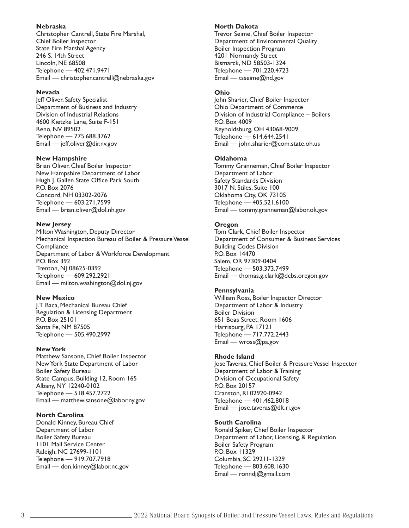# **Nebraska**

Christopher Cantrell, State Fire Marshal, Chief Boiler Inspector State Fire Marshal Agency 246 S. 14th Street Lincoln, NE 68508 Telephone — 402.471.9471 Email — christopher.cantrell@nebraska.gov

#### **Nevada**

Jeff Oliver, Safety Specialist Department of Business and Industry Division of Industrial Relations 4600 Kietzke Lane, Suite F-151 Reno, NV 89502 Telephone — 775.688.3762 Email — jeff.oliver@dir.nv.gov

#### **New Hampshire**

Brian Oliver, Chief Boiler Inspector New Hampshire Department of Labor Hugh J. Gallen State Office Park South P.O. Box 2076 Concord, NH 03302-2076 Telephone — 603.271.7599 Email — brian.oliver@dol.nh.gov

## **New Jersey**

Milton Washington, Deputy Director Mechanical Inspection Bureau of Boiler & Pressure Vessel **Compliance** Department of Labor & Workforce Development P.O. Box 392 Trenton, NJ 08625-0392 Telephone — 609.292.2921 Email — milton.washington@dol.nj.gov

#### **New Mexico**

J.T. Baca, Mechanical Bureau Chief Regulation & Licensing Department P.O. Box 25101 Santa Fe, NM 87505 Telephone — 505.490.2997

#### **New York**

Matthew Sansone, Chief Boiler Inspector New York State Department of Labor Boiler Safety Bureau State Campus, Building 12, Room 165 Albany, NY 12240-0102 Telephone — 518.457.2722 Email — matthew.sansone@labor.ny.gov

# **North Carolina**

Donald Kinney, Bureau Chief Department of Labor Boiler Safety Bureau 1101 Mail Service Center Raleigh, NC 27699-1101 Telephone — 919.707.7918 Email — don.kinney@labor.nc.gov

#### **North Dakota**

Trevor Seime, Chief Boiler Inspector Department of Environmental Quality Boiler Inspection Program 4201 Normandy Street Bismarck, ND 58503-1324 Telephone — 701.220.4723 Email — tsseime@nd.gov

# **Ohio**

John Sharier, Chief Boiler Inspector Ohio Department of Commerce Division of Industrial Compliance – Boilers P.O. Box 4009 Reynoldsburg, OH 43068-9009 Telephone — 614.644.2541 Email — john.sharier@com.state.oh.us

## **Oklahoma**

Tommy Granneman, Chief Boiler Inspector Department of Labor Safety Standards Division 3017 N. Stiles, Suite 100 Oklahoma City, OK 73105 Telephone — 405.521.6100 Email — tommy.granneman@labor.ok.gov

# **Oregon**

Tom Clark, Chief Boiler Inspector Department of Consumer & Business Services Building Codes Division P.O. Box 14470 Salem, OR 97309-0404 Telephone — 503.373.7499 Email — thomas.g.clark@dcbs.oregon.gov

# **Pennsylvania**

William Ross, Boiler Inspector Director Department of Labor & Industry Boiler Division 651 Boas Street, Room 1606 Harrisburg, PA 17121 Telephone — 717.772.2443 Email — wross@pa.gov

# **Rhode Island**

Jose Taveras, Chief Boiler & Pressure Vessel Inspector Department of Labor & Training Division of Occupational Safety P.O. Box 20157 Cranston, RI 02920-0942 Telephone — 401.462.8018 Email — jose.taveras@dlt.ri.gov

# **South Carolina**

Ronald Spiker, Chief Boiler Inspector Department of Labor, Licensing, & Regulation Boiler Safety Program P.O. Box 11329 Columbia, SC 29211-1329 Telephone — 803.608.1630 Email — ronndj@gmail.com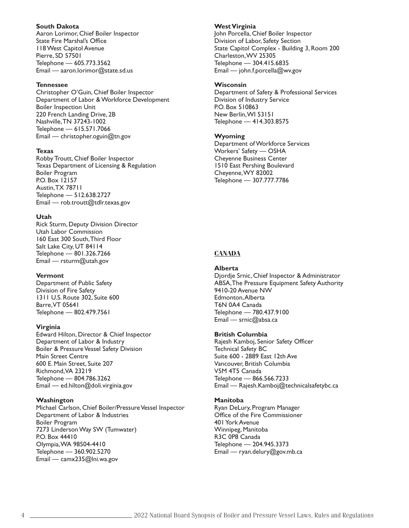#### **South Dakota**

Aaron Lorimor, Chief Boiler Inspector State Fire Marshal's Office 118 West Capitol Avenue Pierre, SD 57501 Telephone — 605.773.3562 Email — aaron.lorimor@state.sd.us

#### **Tennessee**

Christopher O'Guin, Chief Boiler Inspector Department of Labor & Workforce Development Boiler Inspection Unit 220 French Landing Drive, 2B Nashville, TN 37243-1002 Telephone — 615.571.7066 Email — christopher.oguin@tn.gov

## **Texas**

Robby Troutt, Chief Boiler Inspector Texas Department of Licensing & Regulation Boiler Program P.O. Box 12157 Austin, TX 78711 Telephone — 512.638.2727 Email — rob.troutt@tdlr.texas.gov

## **Utah**

Rick Sturm, Deputy Division Director Utah Labor Commission 160 East 300 South, Third Floor Salt Lake City, UT 84114 Telephone — 801.326.7266 Email — rsturm@utah.gov

#### **Vermont**

Department of Public Safety Division of Fire Safety 1311 U.S. Route 302, Suite 600 Barre, VT 05641 Telephone — 802.479.7561

#### **Virginia**

Edward Hilton, Director & Chief Inspector Department of Labor & Industry Boiler & Pressure Vessel Safety Division Main Street Centre 600 E. Main Street, Suite 207 Richmond, VA 23219 Telephone — 804.786.3262 Email — ed.hilton@doli.virginia.gov

#### **Washington**

Michael Carlson, Chief Boiler/Pressure Vessel Inspector Department of Labor & Industries Boiler Program 7273 Linderson Way SW (Tumwater) P.O. Box 44410 Olympia, WA 98504-4410 Telephone — 360.902.5270 Email — camx235@lni.wa.gov

#### **West Virginia**

John Porcella, Chief Boiler Inspector Division of Labor, Safety Section State Capitol Complex - Building 3, Room 200 Charleston, WV 25305 Telephone — 304.415.6835 Email — john.f.porcella@wv.gov

#### **Wisconsin**

Department of Safety & Professional Services Division of Industry Service P.O. Box 510863 New Berlin, WI 53151 Telephone — 414.303.8575

# **Wyoming**

Department of Workforce Services Workers' Safety — OSHA Cheyenne Business Center 1510 East Pershing Boulevard Cheyenne, WY 82002 Telephone — 307.777.7786

# **CANADA**

# **Alberta**

Djordje Srnic, Chief Inspector & Administrator ABSA, The Pressure Equipment Safety Authority 9410-20 Avenue NW Edmonton, Alberta T6N 0A4 Canada Telephone — 780.437.9100 Email — srnic@absa.ca

#### **British Columbia**

Rajesh Kamboj, Senior Safety Officer Technical Safety BC Suite 600 - 2889 East 12th Ave Vancouver, British Columbia V5M 4T5 Canada Telephone — 866.566.7233 Email — Rajesh.Kamboj@technicalsafetybc.ca

#### **Manitoba**

Ryan DeLury, Program Manager Office of the Fire Commissioner 401 York Avenue Winnipeg, Manitoba R3C 0P8 Canada Telephone — 204.945.3373 Email — ryan.delury@gov.mb.ca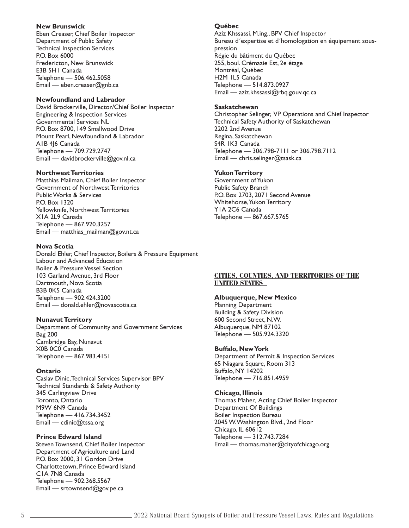#### **New Brunswick**

Eben Creaser, Chief Boiler Inspector Department of Public Safety Technical Inspection Services P.O. Box 6000 Fredericton, New Brunswick E3B 5H1 Canada Telephone — 506.462.5058 Email — eben.creaser@gnb.ca

### **Newfoundland and Labrador**

David Brockerville, Director/Chief Boiler Inspector Engineering & Inspection Services Governmental Services NL P.O. Box 8700, 149 Smallwood Drive Mount Pearl, Newfoundland & Labrador A1B 4J6 Canada Telephone — 709.729.2747 Email — davidbrockerville@gov.nl.ca

### **Northwest Territories**

Matthias Mailman, Chief Boiler Inspector Government of Northwest Territories Public Works & Services P.O. Box 1320 Yellowknife, Northwest Territories X1A 2L9 Canada Telephone — 867.920.3257 Email — matthias\_mailman@gov.nt.ca

#### **Nova Scotia**

Donald Ehler, Chief Inspector, Boilers & Pressure Equipment Labour and Advanced Education Boiler & Pressure Vessel Section 103 Garland Avenue, 3rd Floor Dartmouth, Nova Scotia B3B 0K5 Canada Telephone — 902.424.3200 Email — donald.ehler@novascotia.ca

#### **Nunavut Territory**

Department of Community and Government Services Bag 200 Cambridge Bay, Nunavut X0B 0C0 Canada Telephone — 867.983.4151

#### **Ontario**

Caslav Dinic, Technical Services Supervisor BPV Technical Standards & Safety Authority 345 Carlingview Drive Toronto, Ontario M9W 6N9 Canada Telephone — 416.734.3452 Email — cdinic@tssa.org

### **Prince Edward Island**

Steven Townsend, Chief Boiler Inspector Department of Agriculture and Land P.O. Box 2000, 31 Gordon Drive Charlottetown, Prince Edward Island C1A 7N8 Canada Telephone — 902.368.5567 Email — srtownsend@gov.pe.ca

#### **Québec**

Aziz Khssassi, M.ing., BPV Chief Inspector Bureau d´expertise et d´homologation en équipement souspression Régie du bâtiment du Québec 255, boul. Crémazie Est, 2e étage Montréal, Québec H2M 1L5 Canada Telephone — 514.873.0927 Email — aziz.khssassi@rbq.gouv.qc.ca

#### **Saskatchewan**

Christopher Selinger, VP Operations and Chief Inspector Technical Safety Authority of Saskatchewan 2202 2nd Avenue Regina, Saskatchewan S4R 1K3 Canada Telephone — 306.798-7111 or 306.798.7112 Email — chris.selinger@tsask.ca

### **Yukon Territory**

Government of Yukon Public Safety Branch P.O. Box 2703, 2071 Second Avenue Whitehorse, Yukon Territory Y1A 2C6 Canada Telephone — 867.667.5765

## **CITIES, COUNTIES, AND TERRITORIES OF THE UNITED STATES**

#### **Albuquerque, New Mexico**

Planning Department Building & Safety Division 600 Second Street, N.W. Albuquerque, NM 87102 Telephone — 505.924.3320

## **Buffalo, New York**

Department of Permit & Inspection Services 65 Niagara Square, Room 313 Buffalo, NY 14202 Telephone — 716.851.4959

#### **Chicago, Illinois**

Thomas Maher, Acting Chief Boiler Inspector Department Of Buildings Boiler Inspection Bureau 2045 W. Washington Blvd., 2nd Floor Chicago, IL 60612 Telephone — 312.743.7284 Email — thomas.maher@cityofchicago.org